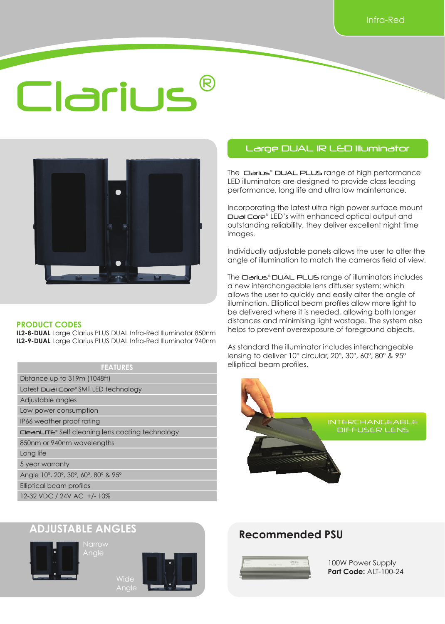## Clarius®



#### **PRODUCT CODES**

**IL2-8-DUAL** Large Clarius PLUS DUAL Infra-Red Illuminator 850nm **IL2-9-DUAL** Large Clarius PLUS DUAL Infra-Red Illuminator 940nm

#### **FEATURES**

Distance up to 319m (1048ft) Latest Dual Core® SMT LED technology

Adjustable angles

Low power consumption

IP66 weather proof rating

CleanLITE® Self cleaning lens coating technology

850nm or 940nm wavelengths

Long life

5 year warranty

Angle 10º, 20º, 30º, 60º, 80º & 95º

Elliptical beam profiles

12-32 VDC / 24V AC +/- 10%

#### Large DUAL IR LED Illuminator

The Clarius<sup>®</sup> DUAL PLUS range of high performance LED illuminators are designed to provide class leading performance, long life and ultra low maintenance.

Incorporating the latest ultra high power surface mount Dual Core® LED's with enhanced optical output and outstanding reliability, they deliver excellent night time images.

Individually adjustable panels allows the user to alter the angle of illumination to match the cameras field of view.

The Clarius® DUAL PLUS range of illuminators includes a new interchangeable lens diffuser system; which allows the user to quickly and easily alter the angle of illumination. Elliptical beam profiles allow more light to be delivered where it is needed, allowing both longer distances and minimising light wastage. The system also helps to prevent overexposure of foreground objects.

As standard the illuminator includes interchangeable lensing to deliver 10° circular, 20º, 30º, 60º, 80º & 95º elliptical beam profiles.

# INTERCHANGEABLE DIFFUSER LENS

#### **ADJUSTABLE ANGLES**







Wide Angle

#### **Recommended PSU**



100W Power Supply **Part Code:** ALT-100-24